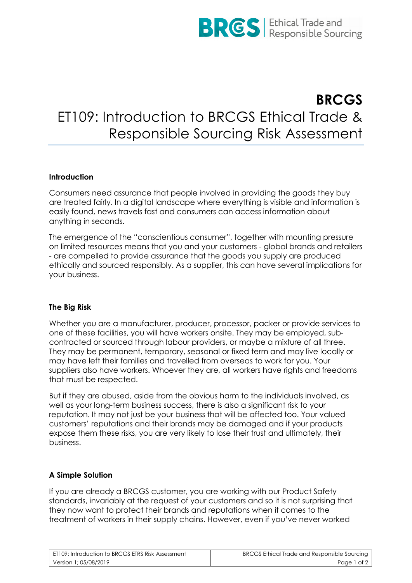

# **BRCGS** ET109: Introduction to BRCGS Ethical Trade & Responsible Sourcing Risk Assessment

## **Introduction**

Consumers need assurance that people involved in providing the goods they buy are treated fairly. In a digital landscape where everything is visible and information is easily found, news travels fast and consumers can access information about anything in seconds.

The emergence of the "conscientious consumer", together with mounting pressure on limited resources means that you and your customers - global brands and retailers - are compelled to provide assurance that the goods you supply are produced ethically and sourced responsibly. As a supplier, this can have several implications for your business.

## **The Big Risk**

Whether you are a manufacturer, producer, processor, packer or provide services to one of these facilities, you will have workers onsite. They may be employed, subcontracted or sourced through labour providers, or maybe a mixture of all three. They may be permanent, temporary, seasonal or fixed term and may live locally or may have left their families and travelled from overseas to work for you. Your suppliers also have workers. Whoever they are, all workers have rights and freedoms that must be respected.

But if they are abused, aside from the obvious harm to the individuals involved, as well as your long-term business success, there is also a significant risk to your reputation. It may not just be your business that will be affected too. Your valued customers' reputations and their brands may be damaged and if your products expose them these risks, you are very likely to lose their trust and ultimately, their business.

## **A Simple Solution**

If you are already a BRCGS customer, you are working with our Product Safety standards, invariably at the request of your customers and so it is not surprising that they now want to protect their brands and reputations when it comes to the treatment of workers in their supply chains. However, even if you've never worked

| ET109: Introduction to BRCGS ETRS Risk Assessment | BRCGS Ethical Trade and Responsible Sourcing |
|---------------------------------------------------|----------------------------------------------|
| Version 1; 05/08/2019 '                           | Page 1 of 2                                  |